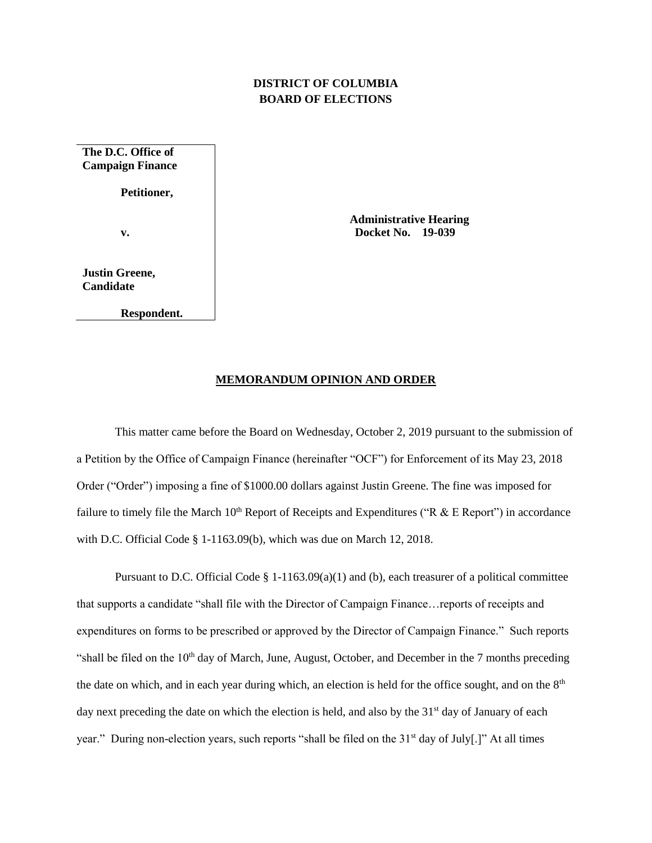## **DISTRICT OF COLUMBIA BOARD OF ELECTIONS**

**The D.C. Office of Campaign Finance Petitioner,**

**v.**

**Justin Greene, Candidate**

**Respondent.**

 **Administrative Hearing Docket No. 19-039**

## **MEMORANDUM OPINION AND ORDER**

This matter came before the Board on Wednesday, October 2, 2019 pursuant to the submission of a Petition by the Office of Campaign Finance (hereinafter "OCF") for Enforcement of its May 23, 2018 Order ("Order") imposing a fine of \$1000.00 dollars against Justin Greene. The fine was imposed for failure to timely file the March  $10^{th}$  Report of Receipts and Expenditures ("R & E Report") in accordance with D.C. Official Code § 1-1163.09(b), which was due on March 12, 2018.

Pursuant to D.C. Official Code § 1-1163.09(a)(1) and (b), each treasurer of a political committee that supports a candidate "shall file with the Director of Campaign Finance…reports of receipts and expenditures on forms to be prescribed or approved by the Director of Campaign Finance." Such reports "shall be filed on the  $10<sup>th</sup>$  day of March, June, August, October, and December in the 7 months preceding the date on which, and in each year during which, an election is held for the office sought, and on the 8<sup>th</sup> day next preceding the date on which the election is held, and also by the  $31<sup>st</sup>$  day of January of each year." During non-election years, such reports "shall be filed on the 31<sup>st</sup> day of July[.]" At all times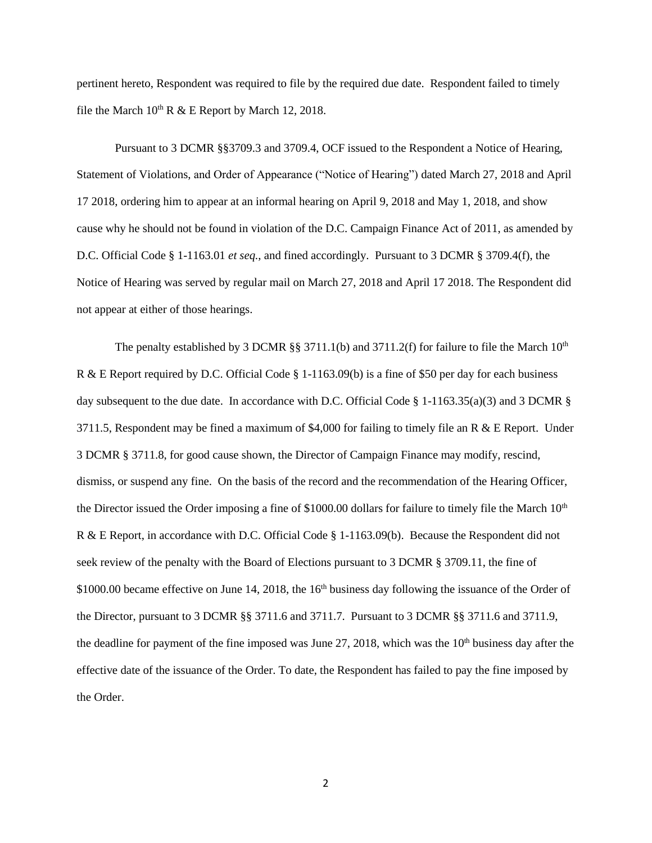pertinent hereto, Respondent was required to file by the required due date. Respondent failed to timely file the March  $10^{th}$  R & E Report by March 12, 2018.

Pursuant to 3 DCMR §§3709.3 and 3709.4, OCF issued to the Respondent a Notice of Hearing, Statement of Violations, and Order of Appearance ("Notice of Hearing") dated March 27, 2018 and April 17 2018, ordering him to appear at an informal hearing on April 9, 2018 and May 1, 2018, and show cause why he should not be found in violation of the D.C. Campaign Finance Act of 2011, as amended by D.C. Official Code § 1-1163.01 *et seq.*, and fined accordingly. Pursuant to 3 DCMR § 3709.4(f), the Notice of Hearing was served by regular mail on March 27, 2018 and April 17 2018. The Respondent did not appear at either of those hearings.

The penalty established by 3 DCMR  $\S$ § 3711.1(b) and 3711.2(f) for failure to file the March 10<sup>th</sup> R & E Report required by D.C. Official Code § 1-1163.09(b) is a fine of \$50 per day for each business day subsequent to the due date. In accordance with D.C. Official Code § 1-1163.35(a)(3) and 3 DCMR § 3711.5, Respondent may be fined a maximum of \$4,000 for failing to timely file an R  $\&$  E Report. Under 3 DCMR § 3711.8, for good cause shown, the Director of Campaign Finance may modify, rescind, dismiss, or suspend any fine. On the basis of the record and the recommendation of the Hearing Officer, the Director issued the Order imposing a fine of \$1000.00 dollars for failure to timely file the March 10<sup>th</sup> R & E Report, in accordance with D.C. Official Code § 1-1163.09(b). Because the Respondent did not seek review of the penalty with the Board of Elections pursuant to 3 DCMR § 3709.11, the fine of \$1000.00 became effective on June 14, 2018, the 16<sup>th</sup> business day following the issuance of the Order of the Director, pursuant to 3 DCMR §§ 3711.6 and 3711.7. Pursuant to 3 DCMR §§ 3711.6 and 3711.9, the deadline for payment of the fine imposed was June  $27$ ,  $2018$ , which was the  $10<sup>th</sup>$  business day after the effective date of the issuance of the Order. To date, the Respondent has failed to pay the fine imposed by the Order.

2